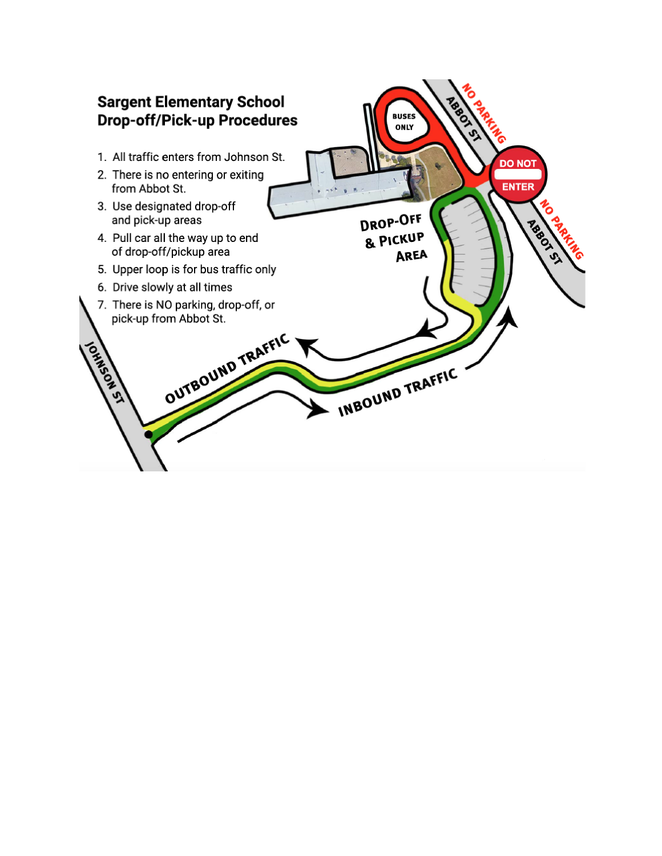